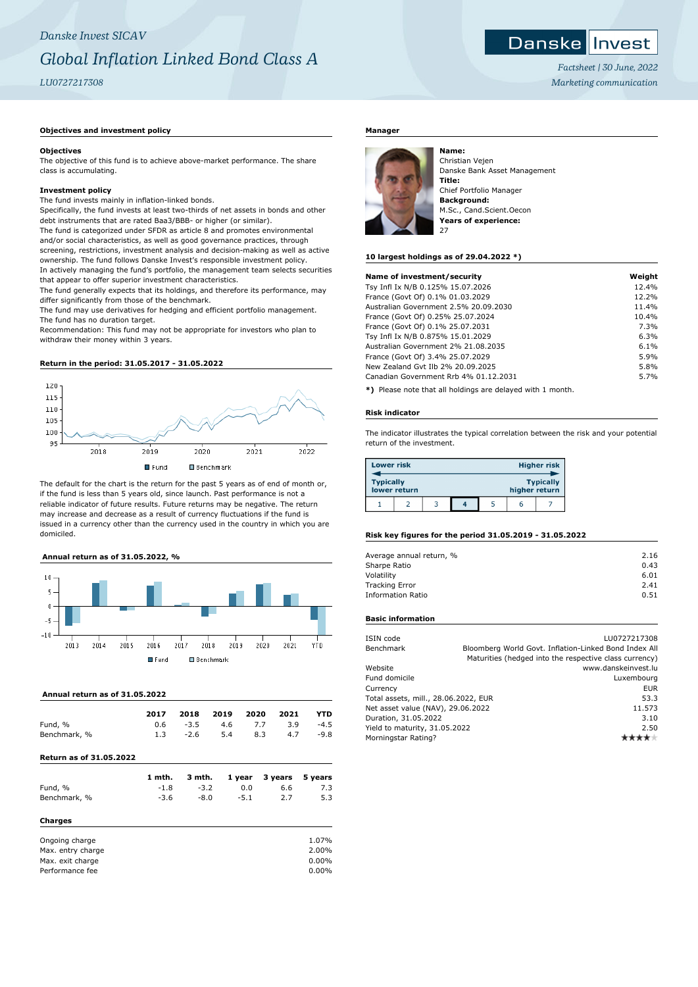## **Objectives and investment policy**

### **Objectives**

The objective of this fund is to achieve above-market performance. The share class is accumulating.

## **Investment policy**

The fund invests mainly in inflation-linked bonds.

Specifically, the fund invests at least two-thirds of net assets in bonds and other debt instruments that are rated Baa3/BBB- or higher (or similar).

The fund is categorized under SFDR as article 8 and promotes environmental and/or social characteristics, as well as good governance practices, through screening, restrictions, investment analysis and decision-making as well as active ownership. The fund follows Danske Invest's responsible investment policy. In actively managing the fund's portfolio, the management team selects securities that appear to offer superior investment characteristics.

The fund generally expects that its holdings, and therefore its performance, may differ significantly from those of the benchmark.

The fund may use derivatives for hedging and efficient portfolio management. The fund has no duration target.

Recommendation: This fund may not be appropriate for investors who plan to withdraw their money within 3 years.

# **Return in the period: 31.05.2017 - 31.05.2022**



The default for the chart is the return for the past 5 years as of end of month or, if the fund is less than 5 years old, since launch. Past performance is not a reliable indicator of future results. Future returns may be negative. The return may increase and decrease as a result of currency fluctuations if the fund is issued in a currency other than the currency used in the country in which you are domiciled.

## **Annual return as of 31.05.2022, %**



### **Annual return as of 31.05.2022**

|              | 2017 |            | 2018 2019 2020 2021                |     |     | <b>YTD</b> |
|--------------|------|------------|------------------------------------|-----|-----|------------|
| Fund, %      |      |            | $0.6 \t -3.5 \t 4.6 \t 7.7 \t 3.9$ |     |     | $-4.5$     |
| Benchmark, % |      | $1.3 -2.6$ | 5.4                                | 8.3 | 4.7 | $-9.8$     |

## **Return as of 31.05.2022**

| Fund, %<br>Benchmark, %                                                    | 1 mth.<br>$-1.8$<br>$-3.6$ | 3 mth.<br>$-3.2$<br>$-8.0$ | 1 year<br>0.0<br>$-5.1$ | 3 years<br>6.6<br>2.7 | 5 years<br>7.3<br>5.3            |
|----------------------------------------------------------------------------|----------------------------|----------------------------|-------------------------|-----------------------|----------------------------------|
| Charges                                                                    |                            |                            |                         |                       |                                  |
| Ongoing charge<br>Max. entry charge<br>Max. exit charge<br>Performance fee |                            |                            |                         |                       | 1.07%<br>2.00%<br>0.00%<br>0.00% |

## **Manager**



Christian Vejen Danske Bank Asset Management **Title:** Chief Portfolio Manager **Background:** M.Sc., Cand.Scient.Oecon **Years of experience:**

### **10 largest holdings as of 29.04.2022 \*)**

| Name of investment/security           | Weight |
|---------------------------------------|--------|
| Tsy Infl Ix N/B 0.125% 15.07.2026     | 12.4%  |
| France (Govt Of) 0.1% 01.03.2029      | 12.2%  |
| Australian Government 2.5% 20.09.2030 | 11.4%  |
| France (Govt Of) 0.25% 25.07.2024     | 10.4%  |
| France (Govt Of) 0.1% 25.07.2031      | 7.3%   |
| Tsy Infl Ix N/B 0.875% 15.01.2029     | 6.3%   |
| Australian Government 2% 21.08.2035   | 6.1%   |
| France (Govt Of) 3.4% 25.07.2029      | 5.9%   |
| New Zealand Gyt Ilb 2% 20.09.2025     | 5.8%   |
| Canadian Government Rrb 4% 01.12.2031 | 5.7%   |
|                                       |        |

**\*)** Please note that all holdings are delayed with 1 month.

#### **Risk indicator**

The indicator illustrates the typical correlation between the risk and your potential return of the investment.

| <b>Lower risk</b> |              |  |  |               | <b>Higher risk</b> |
|-------------------|--------------|--|--|---------------|--------------------|
| <b>Typically</b>  | lower return |  |  | higher return | <b>Typically</b>   |
|                   |              |  |  | n             |                    |

### **Risk key figures for the period 31.05.2019 - 31.05.2022**

| Average annual return, % | 2.16 |
|--------------------------|------|
| Sharpe Ratio             | 0.43 |
| Volatility               | 6.01 |
| <b>Tracking Error</b>    | 2.41 |
| <b>Information Ratio</b> | 0.51 |

## **Basic information**

| ISIN code                            | LU0727217308                                           |
|--------------------------------------|--------------------------------------------------------|
| Benchmark                            | Bloomberg World Govt. Inflation-Linked Bond Index All  |
|                                      | Maturities (hedged into the respective class currency) |
| Website                              | www.danskeinvest.lu                                    |
| Fund domicile                        | Luxembourg                                             |
| Currency                             | <b>EUR</b>                                             |
| Total assets, mill., 28.06.2022, EUR | 53.3                                                   |
| Net asset value (NAV), 29.06.2022    | 11.573                                                 |
| Duration, 31.05.2022                 | 3.10                                                   |
| Yield to maturity, 31.05.2022        | 2.50                                                   |
| Morningstar Rating?                  |                                                        |



*Factsheet | 30 June, 2022 Marketing communication*